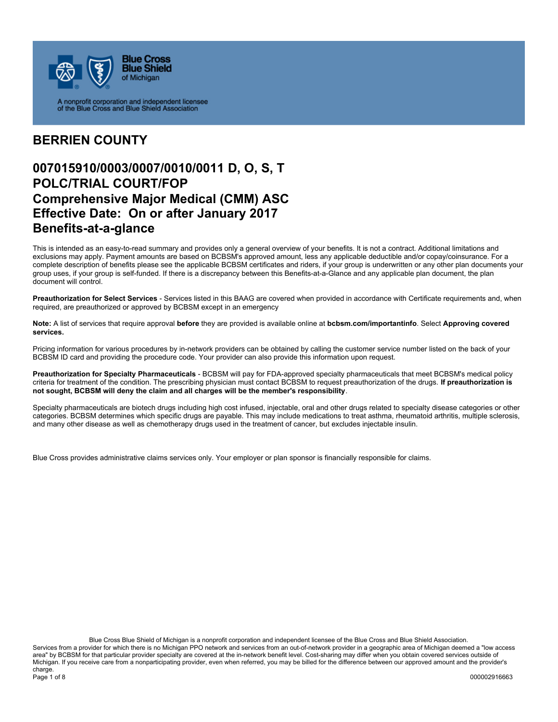

A nonprofit corporation and independent licensee<br>of the Blue Cross and Blue Shield Association

#### **BERRIEN COUNTY**

### **007015910/0003/0007/0010/0011 D, O, S, T POLC/TRIAL COURT/FOP Comprehensive Major Medical (CMM) ASC Effective Date: On or after January 2017 Benefits-at-a-glance**

This is intended as an easy-to-read summary and provides only a general overview of your benefits. It is not a contract. Additional limitations and exclusions may apply. Payment amounts are based on BCBSM's approved amount, less any applicable deductible and/or copay/coinsurance. For a complete description of benefits please see the applicable BCBSM certificates and riders, if your group is underwritten or any other plan documents your group uses, if your group is self-funded. If there is a discrepancy between this Benefits-at-a-Glance and any applicable plan document, the plan document will control.

**Preauthorization for Select Services** - Services listed in this BAAG are covered when provided in accordance with Certificate requirements and, when required, are preauthorized or approved by BCBSM except in an emergency

**Note:** A list of services that require approval **before** they are provided is available online at **bcbsm.com/importantinfo**. Select **Approving covered services.**

Pricing information for various procedures by in-network providers can be obtained by calling the customer service number listed on the back of your BCBSM ID card and providing the procedure code. Your provider can also provide this information upon request.

**Preauthorization for Specialty Pharmaceuticals** - BCBSM will pay for FDA-approved specialty pharmaceuticals that meet BCBSM's medical policy criteria for treatment of the condition. The prescribing physician must contact BCBSM to request preauthorization of the drugs. **If preauthorization is not sought, BCBSM will deny the claim and all charges will be the member's responsibility**.

Specialty pharmaceuticals are biotech drugs including high cost infused, injectable, oral and other drugs related to specialty disease categories or other categories. BCBSM determines which specific drugs are payable. This may include medications to treat asthma, rheumatoid arthritis, multiple sclerosis, and many other disease as well as chemotherapy drugs used in the treatment of cancer, but excludes injectable insulin.

Blue Cross provides administrative claims services only. Your employer or plan sponsor is financially responsible for claims.

Blue Cross Blue Shield of Michigan is a nonprofit corporation and independent licensee of the Blue Cross and Blue Shield Association. Services from a provider for which there is no Michigan PPO network and services from an out-of-network provider in a geographic area of Michigan deemed a "low access area" by BCBSM for that particular provider specialty are covered at the in-network benefit level. Cost-sharing may differ when you obtain covered services outside of Michigan. If you receive care from a nonparticipating provider, even when referred, you may be billed for the difference between our approved amount and the provider's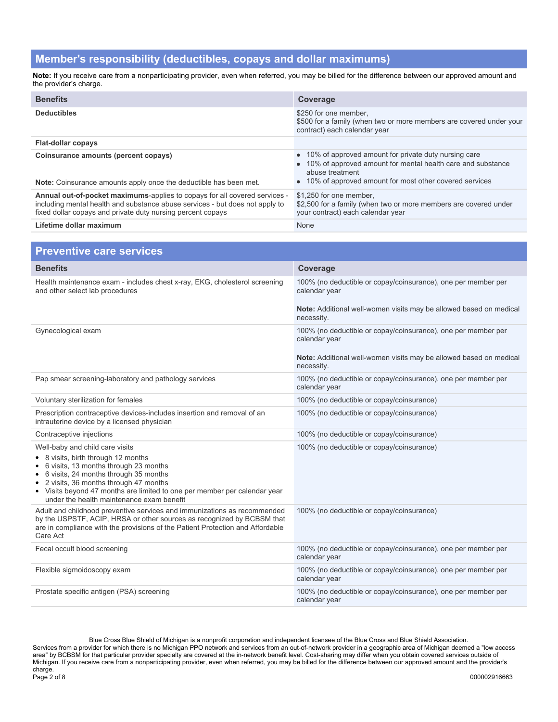#### **Member's responsibility (deductibles, copays and dollar maximums)**

**Note:** If you receive care from a nonparticipating provider, even when referred, you may be billed for the difference between our approved amount and the provider's charge.

| <b>Benefits</b>                                                                                                                                                                                                           | Coverage                                                                                                                                                                                               |
|---------------------------------------------------------------------------------------------------------------------------------------------------------------------------------------------------------------------------|--------------------------------------------------------------------------------------------------------------------------------------------------------------------------------------------------------|
| <b>Deductibles</b>                                                                                                                                                                                                        | \$250 for one member.<br>\$500 for a family (when two or more members are covered under your<br>contract) each calendar year                                                                           |
| <b>Flat-dollar copays</b>                                                                                                                                                                                                 |                                                                                                                                                                                                        |
| Coinsurance amounts (percent copays)<br><b>Note:</b> Coinsurance amounts apply once the deductible has been met.                                                                                                          | • 10% of approved amount for private duty nursing care<br>• 10% of approved amount for mental health care and substance<br>abuse treatment<br>• 10% of approved amount for most other covered services |
| Annual out-of-pocket maximums-applies to copays for all covered services -<br>including mental health and substance abuse services - but does not apply to<br>fixed dollar copays and private duty nursing percent copays | \$1.250 for one member.<br>\$2,500 for a family (when two or more members are covered under<br>your contract) each calendar year                                                                       |
| Lifetime dollar maximum                                                                                                                                                                                                   | None                                                                                                                                                                                                   |

| <b>Preventive care services</b>                                                                                                                                                                                                                                                                                                          |                                                                                                                                                                    |
|------------------------------------------------------------------------------------------------------------------------------------------------------------------------------------------------------------------------------------------------------------------------------------------------------------------------------------------|--------------------------------------------------------------------------------------------------------------------------------------------------------------------|
| <b>Benefits</b>                                                                                                                                                                                                                                                                                                                          | Coverage                                                                                                                                                           |
| Health maintenance exam - includes chest x-ray, EKG, cholesterol screening<br>and other select lab procedures                                                                                                                                                                                                                            | 100% (no deductible or copay/coinsurance), one per member per<br>calendar year<br>Note: Additional well-women visits may be allowed based on medical               |
|                                                                                                                                                                                                                                                                                                                                          | necessity.                                                                                                                                                         |
| Gynecological exam                                                                                                                                                                                                                                                                                                                       | 100% (no deductible or copay/coinsurance), one per member per<br>calendar year<br>Note: Additional well-women visits may be allowed based on medical<br>necessity. |
| Pap smear screening-laboratory and pathology services                                                                                                                                                                                                                                                                                    | 100% (no deductible or copay/coinsurance), one per member per<br>calendar year                                                                                     |
| Voluntary sterilization for females                                                                                                                                                                                                                                                                                                      | 100% (no deductible or copay/coinsurance)                                                                                                                          |
| Prescription contraceptive devices-includes insertion and removal of an<br>intrauterine device by a licensed physician                                                                                                                                                                                                                   | 100% (no deductible or copay/coinsurance)                                                                                                                          |
| Contraceptive injections                                                                                                                                                                                                                                                                                                                 | 100% (no deductible or copay/coinsurance)                                                                                                                          |
| Well-baby and child care visits<br>• 8 visits, birth through 12 months<br>6 visits, 13 months through 23 months<br>6 visits, 24 months through 35 months<br>2 visits, 36 months through 47 months<br>$\bullet$<br>• Visits beyond 47 months are limited to one per member per calendar year<br>under the health maintenance exam benefit | 100% (no deductible or copay/coinsurance)                                                                                                                          |
| Adult and childhood preventive services and immunizations as recommended<br>by the USPSTF, ACIP, HRSA or other sources as recognized by BCBSM that<br>are in compliance with the provisions of the Patient Protection and Affordable<br>Care Act                                                                                         | 100% (no deductible or copay/coinsurance)                                                                                                                          |
| Fecal occult blood screening                                                                                                                                                                                                                                                                                                             | 100% (no deductible or copay/coinsurance), one per member per<br>calendar year                                                                                     |
| Flexible sigmoidoscopy exam                                                                                                                                                                                                                                                                                                              | 100% (no deductible or copay/coinsurance), one per member per<br>calendar year                                                                                     |
| Prostate specific antigen (PSA) screening                                                                                                                                                                                                                                                                                                | 100% (no deductible or copay/coinsurance), one per member per<br>calendar year                                                                                     |

Blue Cross Blue Shield of Michigan is a nonprofit corporation and independent licensee of the Blue Cross and Blue Shield Association. Services from a provider for which there is no Michigan PPO network and services from an out-of-network provider in a geographic area of Michigan deemed a "low access area" by BCBSM for that particular provider specialty are covered at the in-network benefit level. Cost-sharing may differ when you obtain covered services outside of Michigan. If you receive care from a nonparticipating provider, even when referred, you may be billed for the difference between our approved amount and the provider's charge.<br>Page 2 of 8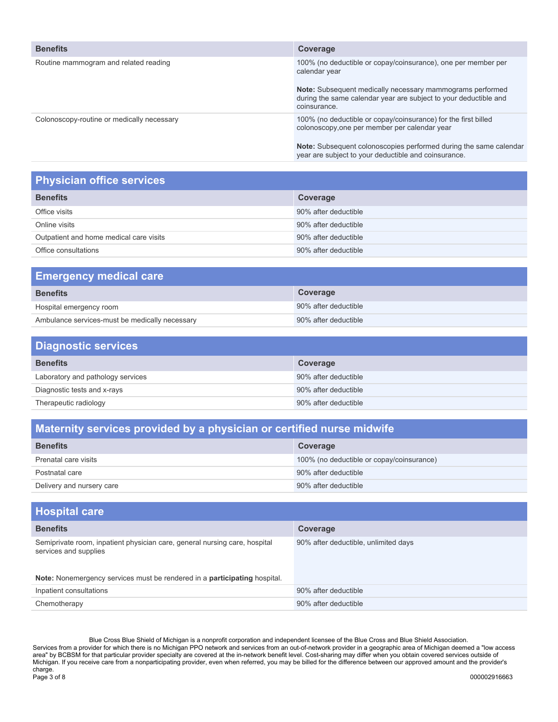| <b>Benefits</b>                            | Coverage                                                                                                                                      |
|--------------------------------------------|-----------------------------------------------------------------------------------------------------------------------------------------------|
| Routine mammogram and related reading      | 100% (no deductible or copay/coinsurance), one per member per<br>calendar year                                                                |
|                                            | Note: Subsequent medically necessary mammograms performed<br>during the same calendar year are subject to your deductible and<br>coinsurance. |
| Colonoscopy-routine or medically necessary | 100% (no deductible or copay/coinsurance) for the first billed<br>colonoscopy, one per member per calendar year                               |
|                                            | Note: Subsequent colonoscopies performed during the same calendar<br>year are subject to your deductible and coinsurance.                     |

## **Physician office services**

| <b>Benefits</b><br>Coverage<br>90% after deductible<br>Office visits<br>90% after deductible<br>Online visits<br>Outpatient and home medical care visits<br>90% after deductible |
|----------------------------------------------------------------------------------------------------------------------------------------------------------------------------------|
|                                                                                                                                                                                  |
|                                                                                                                                                                                  |
|                                                                                                                                                                                  |
|                                                                                                                                                                                  |
| 90% after deductible<br>Office consultations                                                                                                                                     |

| <b>Emergency medical care</b>                  |                      |
|------------------------------------------------|----------------------|
| <b>Benefits</b>                                | Coverage             |
| Hospital emergency room                        | 90% after deductible |
| Ambulance services-must be medically necessary | 90% after deductible |

| <b>Diagnostic services</b>        |                      |
|-----------------------------------|----------------------|
| <b>Benefits</b>                   | Coverage             |
| Laboratory and pathology services | 90% after deductible |
| Diagnostic tests and x-rays       | 90% after deductible |
| Therapeutic radiology             | 90% after deductible |

## **Maternity services provided by a physician or certified nurse midwife**

| <b>Benefits</b>           | Coverage                                  |
|---------------------------|-------------------------------------------|
| Prenatal care visits      | 100% (no deductible or copay/coinsurance) |
| Postnatal care            | 90% after deductible                      |
| Delivery and nursery care | 90% after deductible                      |

| <b>Hospital care</b>                                                                                |                                      |
|-----------------------------------------------------------------------------------------------------|--------------------------------------|
| <b>Benefits</b>                                                                                     | Coverage                             |
| Semiprivate room, inpatient physician care, general nursing care, hospital<br>services and supplies | 90% after deductible, unlimited days |
| Note: Nonemergency services must be rendered in a participating hospital.                           |                                      |
| Inpatient consultations                                                                             | 90% after deductible                 |
| Chemotherapy                                                                                        | 90% after deductible                 |

Blue Cross Blue Shield of Michigan is a nonprofit corporation and independent licensee of the Blue Cross and Blue Shield Association. Services from a provider for which there is no Michigan PPO network and services from an out-of-network provider in a geographic area of Michigan deemed a "low access area" by BCBSM for that particular provider specialty are covered at the in-network benefit level. Cost-sharing may differ when you obtain covered services outside of Michigan. If you receive care from a nonparticipating provider, even when referred, you may be billed for the difference between our approved amount and the provider's charge.<br>Page 3 of 8 Page 3 of 8 000002916663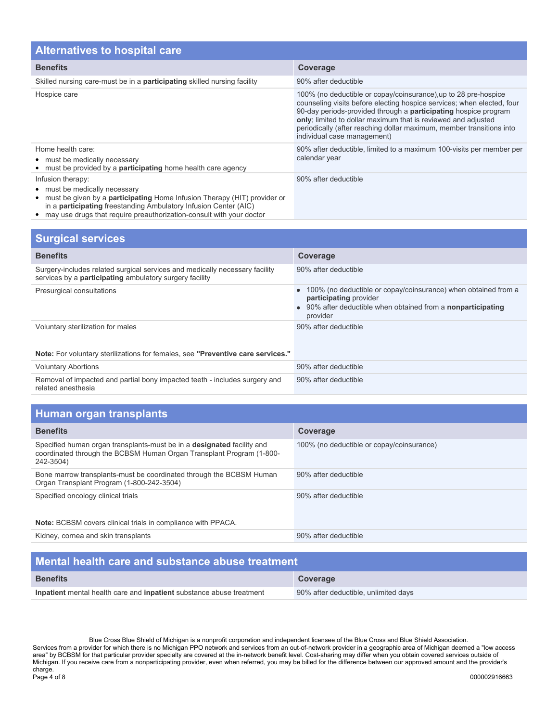| <b>Alternatives to hospital care</b>                                                                                                                                                                               |                                                                                                                                                                                                                                                                                                                                                                                             |  |
|--------------------------------------------------------------------------------------------------------------------------------------------------------------------------------------------------------------------|---------------------------------------------------------------------------------------------------------------------------------------------------------------------------------------------------------------------------------------------------------------------------------------------------------------------------------------------------------------------------------------------|--|
| <b>Benefits</b>                                                                                                                                                                                                    | Coverage                                                                                                                                                                                                                                                                                                                                                                                    |  |
| Skilled nursing care-must be in a <b>participating</b> skilled nursing facility                                                                                                                                    | 90% after deductible                                                                                                                                                                                                                                                                                                                                                                        |  |
| Hospice care                                                                                                                                                                                                       | 100% (no deductible or copay/coinsurance), up to 28 pre-hospice<br>counseling visits before electing hospice services; when elected, four<br>90-day periods-provided through a <b>participating</b> hospice program<br>only; limited to dollar maximum that is reviewed and adjusted<br>periodically (after reaching dollar maximum, member transitions into<br>individual case management) |  |
| Home health care:<br>• must be medically necessary<br>• must be provided by a <b>participating</b> home health care agency                                                                                         | 90% after deductible, limited to a maximum 100-visits per member per<br>calendar year                                                                                                                                                                                                                                                                                                       |  |
| Infusion therapy:<br>• must be medically necessary<br>• must be given by a <b>participating</b> Home Infusion Therapy (HIT) provider or<br>in a <b>participating</b> freestanding Ambulatory Infusion Center (AIC) | 90% after deductible                                                                                                                                                                                                                                                                                                                                                                        |  |

may use drugs that require preauthorization-consult with your doctor

| <b>Surgical services</b>                                                                                                                      |                                                                                                                                                                           |
|-----------------------------------------------------------------------------------------------------------------------------------------------|---------------------------------------------------------------------------------------------------------------------------------------------------------------------------|
| <b>Benefits</b>                                                                                                                               | Coverage                                                                                                                                                                  |
| Surgery-includes related surgical services and medically necessary facility<br>services by a <b>participating</b> ambulatory surgery facility | 90% after deductible                                                                                                                                                      |
| Presurgical consultations                                                                                                                     | 100% (no deductible or copay/coinsurance) when obtained from a<br>participating provider<br>90% after deductible when obtained from a <b>nonparticipating</b><br>provider |
| Voluntary sterilization for males                                                                                                             | 90% after deductible                                                                                                                                                      |
| Note: For voluntary sterilizations for females, see "Preventive care services."                                                               |                                                                                                                                                                           |
| <b>Voluntary Abortions</b>                                                                                                                    | 90% after deductible                                                                                                                                                      |
| Removal of impacted and partial bony impacted teeth - includes surgery and<br>related anesthesia                                              | 90% after deductible                                                                                                                                                      |

| Human organ transplants |  |
|-------------------------|--|
|                         |  |

| <b>Benefits</b>                                                                                                                                                    | Coverage                                  |
|--------------------------------------------------------------------------------------------------------------------------------------------------------------------|-------------------------------------------|
| Specified human organ transplants-must be in a <b>designated</b> facility and<br>coordinated through the BCBSM Human Organ Transplant Program (1-800-<br>242-3504) | 100% (no deductible or copay/coinsurance) |
| Bone marrow transplants-must be coordinated through the BCBSM Human<br>Organ Transplant Program (1-800-242-3504)                                                   | 90% after deductible                      |
| Specified oncology clinical trials                                                                                                                                 | 90% after deductible                      |
| <b>Note:</b> BCBSM covers clinical trials in compliance with PPACA.                                                                                                |                                           |
| Kidney, cornea and skin transplants                                                                                                                                | 90% after deductible                      |

| Mental health care and substance abuse treatment                     |                                      |
|----------------------------------------------------------------------|--------------------------------------|
| <b>Benefits</b>                                                      | Coverage                             |
| Inpatient mental health care and inpatient substance abuse treatment | 90% after deductible, unlimited days |

Blue Cross Blue Shield of Michigan is a nonprofit corporation and independent licensee of the Blue Cross and Blue Shield Association. Services from a provider for which there is no Michigan PPO network and services from an out-of-network provider in a geographic area of Michigan deemed a "low access area" by BCBSM for that particular provider specialty are covered at the in-network benefit level. Cost-sharing may differ when you obtain covered services outside of Michigan. If you receive care from a nonparticipating provider, even when referred, you may be billed for the difference between our approved amount and the provider's charge.<br>Page 4 of 8 Page 4 of 8 000002916663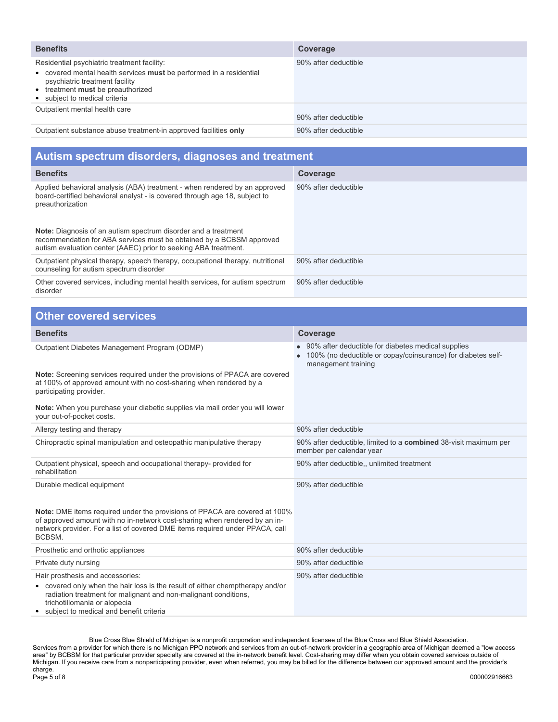| <b>Benefits</b>                                                                                                                                                                                                            | Coverage             |
|----------------------------------------------------------------------------------------------------------------------------------------------------------------------------------------------------------------------------|----------------------|
| Residential psychiatric treatment facility:<br>• covered mental health services must be performed in a residential<br>psychiatric treatment facility<br>• treatment must be preauthorized<br>• subject to medical criteria | 90% after deductible |
| Outpatient mental health care                                                                                                                                                                                              | 90% after deductible |
| Outpatient substance abuse treatment-in approved facilities only                                                                                                                                                           | 90% after deductible |

| Autism spectrum disorders, diagnoses and treatment                                                                                                                                                               |                      |  |
|------------------------------------------------------------------------------------------------------------------------------------------------------------------------------------------------------------------|----------------------|--|
| <b>Benefits</b>                                                                                                                                                                                                  | Coverage             |  |
| Applied behavioral analysis (ABA) treatment - when rendered by an approved<br>board-certified behavioral analyst - is covered through age 18, subject to<br>preauthorization                                     | 90% after deductible |  |
| <b>Note:</b> Diagnosis of an autism spectrum disorder and a treatment<br>recommendation for ABA services must be obtained by a BCBSM approved<br>autism evaluation center (AAEC) prior to seeking ABA treatment. |                      |  |
| Outpatient physical therapy, speech therapy, occupational therapy, nutritional<br>counseling for autism spectrum disorder                                                                                        | 90% after deductible |  |
| Other covered services, including mental health services, for autism spectrum<br>disorder                                                                                                                        | 90% after deductible |  |

| <b>Other covered services</b>                                                                                                                                                                                                                                   |                                                                                                                                           |  |
|-----------------------------------------------------------------------------------------------------------------------------------------------------------------------------------------------------------------------------------------------------------------|-------------------------------------------------------------------------------------------------------------------------------------------|--|
| <b>Benefits</b>                                                                                                                                                                                                                                                 | <b>Coverage</b>                                                                                                                           |  |
| Outpatient Diabetes Management Program (ODMP)                                                                                                                                                                                                                   | 90% after deductible for diabetes medical supplies<br>100% (no deductible or copay/coinsurance) for diabetes self-<br>management training |  |
| <b>Note:</b> Screening services required under the provisions of PPACA are covered<br>at 100% of approved amount with no cost-sharing when rendered by a<br>participating provider.                                                                             |                                                                                                                                           |  |
| Note: When you purchase your diabetic supplies via mail order you will lower<br>your out-of-pocket costs.                                                                                                                                                       |                                                                                                                                           |  |
| Allergy testing and therapy                                                                                                                                                                                                                                     | 90% after deductible                                                                                                                      |  |
| Chiropractic spinal manipulation and osteopathic manipulative therapy                                                                                                                                                                                           | 90% after deductible, limited to a <b>combined</b> 38-visit maximum per<br>member per calendar year                                       |  |
| Outpatient physical, speech and occupational therapy- provided for<br>rehabilitation                                                                                                                                                                            | 90% after deductible,, unlimited treatment                                                                                                |  |
| Durable medical equipment                                                                                                                                                                                                                                       | 90% after deductible                                                                                                                      |  |
| Note: DME items required under the provisions of PPACA are covered at 100%<br>of approved amount with no in-network cost-sharing when rendered by an in-<br>network provider. For a list of covered DME items required under PPACA, call<br>BCBSM.              |                                                                                                                                           |  |
| Prosthetic and orthotic appliances                                                                                                                                                                                                                              | 90% after deductible                                                                                                                      |  |
| Private duty nursing                                                                                                                                                                                                                                            | 90% after deductible                                                                                                                      |  |
| Hair prosthesis and accessories:<br>• covered only when the hair loss is the result of either chemptherapy and/or<br>radiation treatment for malignant and non-malignant conditions,<br>trichotillomania or alopecia<br>subject to medical and benefit criteria | 90% after deductible                                                                                                                      |  |

Blue Cross Blue Shield of Michigan is a nonprofit corporation and independent licensee of the Blue Cross and Blue Shield Association. Services from a provider for which there is no Michigan PPO network and services from an out-of-network provider in a geographic area of Michigan deemed a "low access area" by BCBSM for that particular provider specialty are covered at the in-network benefit level. Cost-sharing may differ when you obtain covered services outside of Michigan. If you receive care from a nonparticipating provider, even when referred, you may be billed for the difference between our approved amount and the provider's charge. Page 5 of 8 000002916663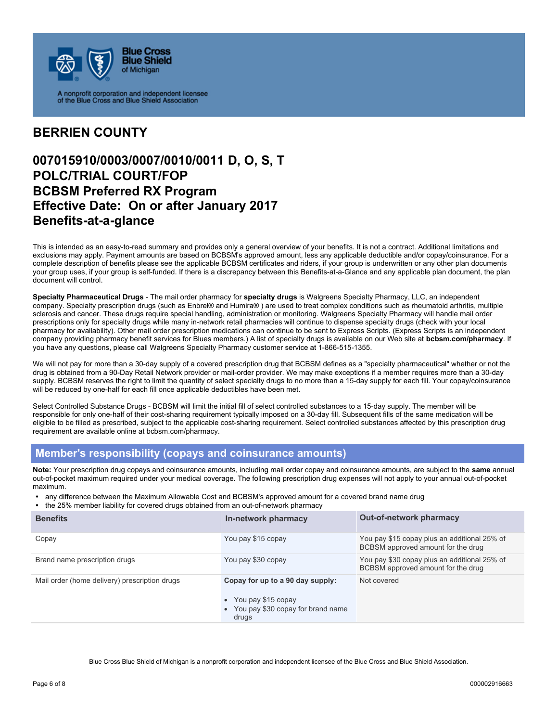

#### **BERRIEN COUNTY**

### **007015910/0003/0007/0010/0011 D, O, S, T POLC/TRIAL COURT/FOP BCBSM Preferred RX Program Effective Date: On or after January 2017 Benefits-at-a-glance**

This is intended as an easy-to-read summary and provides only a general overview of your benefits. It is not a contract. Additional limitations and exclusions may apply. Payment amounts are based on BCBSM's approved amount, less any applicable deductible and/or copay/coinsurance. For a complete description of benefits please see the applicable BCBSM certificates and riders, if your group is underwritten or any other plan documents your group uses, if your group is self-funded. If there is a discrepancy between this Benefits-at-a-Glance and any applicable plan document, the plan document will control.

**Specialty Pharmaceutical Drugs** - The mail order pharmacy for **specialty drugs** is Walgreens Specialty Pharmacy, LLC, an independent company. Specialty prescription drugs (such as Enbrel® and Humira® ) are used to treat complex conditions such as rheumatoid arthritis, multiple sclerosis and cancer. These drugs require special handling, administration or monitoring. Walgreens Specialty Pharmacy will handle mail order prescriptions only for specialty drugs while many in-network retail pharmacies will continue to dispense specialty drugs (check with your local pharmacy for availability). Other mail order prescription medications can continue to be sent to Express Scripts. (Express Scripts is an independent company providing pharmacy benefit services for Blues members.) A list of specialty drugs is available on our Web site at **bcbsm.com/pharmacy**. If you have any questions, please call Walgreens Specialty Pharmacy customer service at 1-866-515-1355.

We will not pay for more than a 30-day supply of a covered prescription drug that BCBSM defines as a "specialty pharmaceutical" whether or not the drug is obtained from a 90-Day Retail Network provider or mail-order provider. We may make exceptions if a member requires more than a 30-day supply. BCBSM reserves the right to limit the quantity of select specialty drugs to no more than a 15-day supply for each fill. Your copay/coinsurance will be reduced by one-half for each fill once applicable deductibles have been met.

Select Controlled Substance Drugs - BCBSM will limit the initial fill of select controlled substances to a 15-day supply. The member will be responsible for only one-half of their cost-sharing requirement typically imposed on a 30-day fill. Subsequent fills of the same medication will be eligible to be filled as prescribed, subject to the applicable cost-sharing requirement. Select controlled substances affected by this prescription drug requirement are available online at bcbsm.com/pharmacy.

#### **Member's responsibility (copays and coinsurance amounts)**

**Note:** Your prescription drug copays and coinsurance amounts, including mail order copay and coinsurance amounts, are subject to the **same** annual out-of-pocket maximum required under your medical coverage. The following prescription drug expenses will not apply to your annual out-of-pocket maximum.

- any difference between the Maximum Allowable Cost and BCBSM's approved amount for a covered brand name drug<br>• the 25% member liability for covered drugs obtained from an out-of-network pharmacy
- the 25% member liability for covered drugs obtained from an out-of-network pharmacy

| <b>Benefits</b>                               | In-network pharmacy                                                                                      | <b>Out-of-network pharmacy</b>                                                     |
|-----------------------------------------------|----------------------------------------------------------------------------------------------------------|------------------------------------------------------------------------------------|
| Copay                                         | You pay \$15 copay                                                                                       | You pay \$15 copay plus an additional 25% of<br>BCBSM approved amount for the drug |
| Brand name prescription drugs                 | You pay \$30 copay                                                                                       | You pay \$30 copay plus an additional 25% of<br>BCBSM approved amount for the drug |
| Mail order (home delivery) prescription drugs | Copay for up to a 90 day supply:<br>• You pay \$15 copay<br>• You pay \$30 copay for brand name<br>drugs | Not covered                                                                        |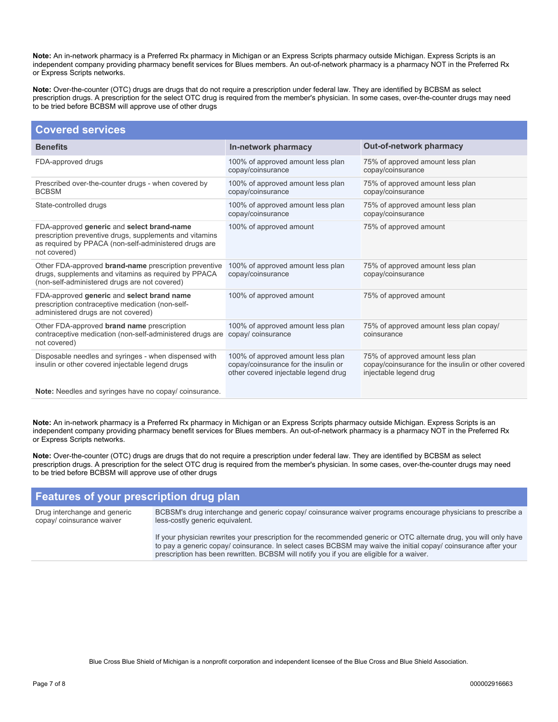**Note:** An in-network pharmacy is a Preferred Rx pharmacy in Michigan or an Express Scripts pharmacy outside Michigan. Express Scripts is an independent company providing pharmacy benefit services for Blues members. An out-of-network pharmacy is a pharmacy NOT in the Preferred Rx or Express Scripts networks.

**Note:** Over-the-counter (OTC) drugs are drugs that do not require a prescription under federal law. They are identified by BCBSM as select prescription drugs. A prescription for the select OTC drug is required from the member's physician. In some cases, over-the-counter drugs may need to be tried before BCBSM will approve use of other drugs

| <b>Covered services</b>                                                                                                                                                        |                                                                                                                   |                                                                                                                  |
|--------------------------------------------------------------------------------------------------------------------------------------------------------------------------------|-------------------------------------------------------------------------------------------------------------------|------------------------------------------------------------------------------------------------------------------|
| <b>Benefits</b>                                                                                                                                                                | In-network pharmacy                                                                                               | <b>Out-of-network pharmacy</b>                                                                                   |
| FDA-approved drugs                                                                                                                                                             | 100% of approved amount less plan<br>copay/coinsurance                                                            | 75% of approved amount less plan<br>copay/coinsurance                                                            |
| Prescribed over-the-counter drugs - when covered by<br><b>BCBSM</b>                                                                                                            | 100% of approved amount less plan<br>copay/coinsurance                                                            | 75% of approved amount less plan<br>copay/coinsurance                                                            |
| State-controlled drugs                                                                                                                                                         | 100% of approved amount less plan<br>copay/coinsurance                                                            | 75% of approved amount less plan<br>copay/coinsurance                                                            |
| FDA-approved generic and select brand-name<br>prescription preventive drugs, supplements and vitamins<br>as required by PPACA (non-self-administered drugs are<br>not covered) | 100% of approved amount                                                                                           | 75% of approved amount                                                                                           |
| Other FDA-approved brand-name prescription preventive<br>drugs, supplements and vitamins as required by PPACA<br>(non-self-administered drugs are not covered)                 | 100% of approved amount less plan<br>copay/coinsurance                                                            | 75% of approved amount less plan<br>copay/coinsurance                                                            |
| FDA-approved generic and select brand name<br>prescription contraceptive medication (non-self-<br>administered drugs are not covered)                                          | 100% of approved amount                                                                                           | 75% of approved amount                                                                                           |
| Other FDA-approved brand name prescription<br>contraceptive medication (non-self-administered drugs are<br>not covered)                                                        | 100% of approved amount less plan<br>copay/ coinsurance                                                           | 75% of approved amount less plan copay/<br>coinsurance                                                           |
| Disposable needles and syringes - when dispensed with<br>insulin or other covered injectable legend drugs                                                                      | 100% of approved amount less plan<br>copay/coinsurance for the insulin or<br>other covered injectable legend drug | 75% of approved amount less plan<br>copay/coinsurance for the insulin or other covered<br>injectable legend drug |
| Netar Needles and ouringse house no conqui soingurance                                                                                                                         |                                                                                                                   |                                                                                                                  |

**Note:** Needles and syringes have no copay/ coinsurance.

**Note:** An in-network pharmacy is a Preferred Rx pharmacy in Michigan or an Express Scripts pharmacy outside Michigan. Express Scripts is an independent company providing pharmacy benefit services for Blues members. An out-of-network pharmacy is a pharmacy NOT in the Preferred Rx or Express Scripts networks.

**Note:** Over-the-counter (OTC) drugs are drugs that do not require a prescription under federal law. They are identified by BCBSM as select prescription drugs. A prescription for the select OTC drug is required from the member's physician. In some cases, over-the-counter drugs may need to be tried before BCBSM will approve use of other drugs

# **Features of your prescription drug plan**

Drug interchange and generic copay/ coinsurance waiver

BCBSM's drug interchange and generic copay/ coinsurance waiver programs encourage physicians to prescribe a less-costly generic equivalent.

If your physician rewrites your prescription for the recommended generic or OTC alternate drug, you will only have to pay a generic copay/ coinsurance. In select cases BCBSM may waive the initial copay/ coinsurance after your prescription has been rewritten. BCBSM will notify you if you are eligible for a waiver.